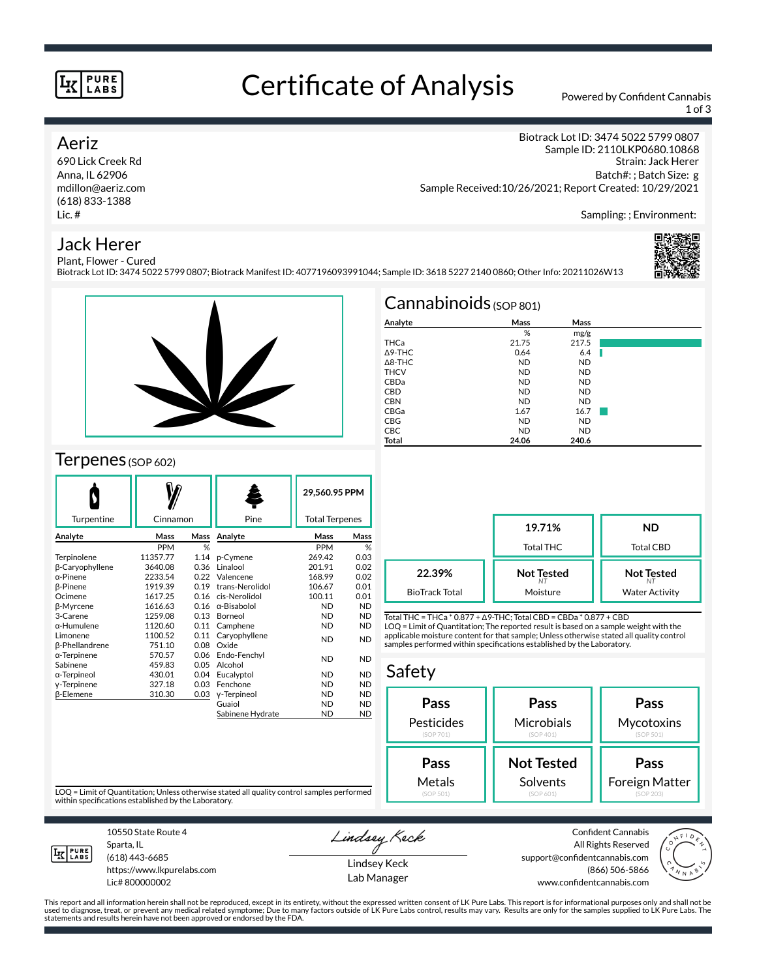#### **PURE** LABS

## Certificate of Analysis Powered by Confident Cannabis

1 of 3

## Aeriz

690 Lick Creek Rd Anna, IL 62906 mdillon@aeriz.com (618) 833-1388 Lic. #

Biotrack Lot ID: 3474 5022 5799 0807 Sample ID: 2110LKP0680.10868 Strain: Jack Herer Batch#: ; Batch Size: g Sample Received:10/26/2021; Report Created: 10/29/2021

Sampling: ; Environment:

## Jack Herer



Plant, Flower - Cured Biotrack Lot ID: 3474 5022 5799 0807; Biotrack Manifest ID: 4077196093991044; Sample ID: 3618 5227 2140 0860; Other Info: 20211026W13



## Terpenes (SOP 602)

|                        |              |      |                  | 29,560.95 PPM         |           |
|------------------------|--------------|------|------------------|-----------------------|-----------|
| Turpentine             | Cinnamon     |      | Pine             | <b>Total Terpenes</b> |           |
| Analyte                | Mass<br>Mass |      | Analyte          | Mass                  | Mass      |
|                        | <b>PPM</b>   | %    |                  | <b>PPM</b>            | %         |
| Terpinolene            | 11357.77     | 1.14 | p-Cymene         | 269.42                | 0.03      |
| <b>B-Caryophyllene</b> | 3640.08      | 0.36 | Linalool         | 201.91                | 0.02      |
| $\alpha$ -Pinene       | 2233.54      | 0.22 | Valencene        | 168.99                | 0.02      |
| β-Pinene               | 1919.39      | 0.19 | trans-Nerolidol  | 106.67                | 0.01      |
| Ocimene                | 1617.25      | 0.16 | cis-Nerolidol    | 100.11                | 0.01      |
| <b>ß-Myrcene</b>       | 1616.63      | 0.16 | α-Bisabolol      | <b>ND</b>             | <b>ND</b> |
| 3-Carene               | 1259.08      | 0.13 | Borneol          | <b>ND</b>             | <b>ND</b> |
| α-Humulene             | 1120.60      | 0.11 | Camphene         | <b>ND</b>             | <b>ND</b> |
| Limonene               | 1100.52      | 0.11 | Caryophyllene    | <b>ND</b>             | <b>ND</b> |
| <b>ß-Phellandrene</b>  | 751.10       | 0.08 | Oxide            |                       |           |
| $\alpha$ -Terpinene    | 570.57       | 0.06 | Endo-Fenchyl     | <b>ND</b>             | <b>ND</b> |
| Sabinene               | 459.83       | 0.05 | Alcohol          |                       |           |
| α-Terpineol            | 430.01       | 0.04 | Eucalyptol       | <b>ND</b>             | <b>ND</b> |
| y-Terpinene            | 327.18       | 0.03 | Fenchone         | <b>ND</b>             | <b>ND</b> |
| <b>ß-Elemene</b>       | 310.30       | 0.03 | y-Terpineol      | <b>ND</b>             | <b>ND</b> |
|                        |              |      | Guaiol           | <b>ND</b>             | <b>ND</b> |
|                        |              |      | Sabinene Hydrate | ND                    | <b>ND</b> |
|                        |              |      |                  |                       |           |

| $Cannabinoids$ (SOP 801) |           |           |  |  |  |  |
|--------------------------|-----------|-----------|--|--|--|--|
| Analyte                  | Mass      | Mass      |  |  |  |  |
|                          | %         | mg/g      |  |  |  |  |
| THCa                     | 21.75     | 217.5     |  |  |  |  |
| $\Delta$ 9-THC           | 0.64      | 6.4       |  |  |  |  |
| $\triangle$ 8-THC        | <b>ND</b> | <b>ND</b> |  |  |  |  |
| <b>THCV</b>              | <b>ND</b> | <b>ND</b> |  |  |  |  |
| CBDa                     | <b>ND</b> | <b>ND</b> |  |  |  |  |
| <b>CBD</b>               | <b>ND</b> | <b>ND</b> |  |  |  |  |
| <b>CBN</b>               | <b>ND</b> | <b>ND</b> |  |  |  |  |
| CBGa                     | 1.67      | 16.7      |  |  |  |  |
| <b>CBG</b>               | <b>ND</b> | <b>ND</b> |  |  |  |  |
| <b>CBC</b>               | <b>ND</b> | <b>ND</b> |  |  |  |  |
| Total                    | 24.06     | 240.6     |  |  |  |  |

**19.71%** Total THC **ND** Total CBD **Not Tested** *NT* Moisture **Not Tested** *NT* Water Activity **22.39%** BioTrack Total

Total THC = THCa \* 0.877 + ∆9-THC; Total CBD = CBDa \* 0.877 + CBD LOQ = Limit of Quantitation; The reported result is based on a sample weight with the applicable moisture content for that sample; Unless otherwise stated all quality control samples performed within specifications established by the Laboratory.

| Safety     |                   |                |
|------------|-------------------|----------------|
| Pass       | Pass              | Pass           |
| Pesticides | Microbials        | Mycotoxins     |
| (SOP 701)  | (SOP 401)         | (SOP 501)      |
| Pass       | <b>Not Tested</b> | Pass           |
| Metals     | Solvents          | Foreign Matter |
| (SOP 501)  | (SOP 601)         | (SOP 203)      |

LOQ = Limit of Quantitation; Unless otherwise stated all quality control samples performed within specifications established by the Laboratory.



Sparta, IL (618) 443-6685

10550 State Route 4

https://www.lkpurelabs.com Lic# 800000002

Lindsey Keck

Lindsey Keck Lab Manager

Confident Cannabis All Rights Reserved support@confidentcannabis.com (866) 506-5866 www.confidentcannabis.com



This report and all information herein shall not be reproduced, except in its entirety, without the expressed written consent of LK Pure Labs. This report is for informational purposes only and shall not be<br>used to diagnos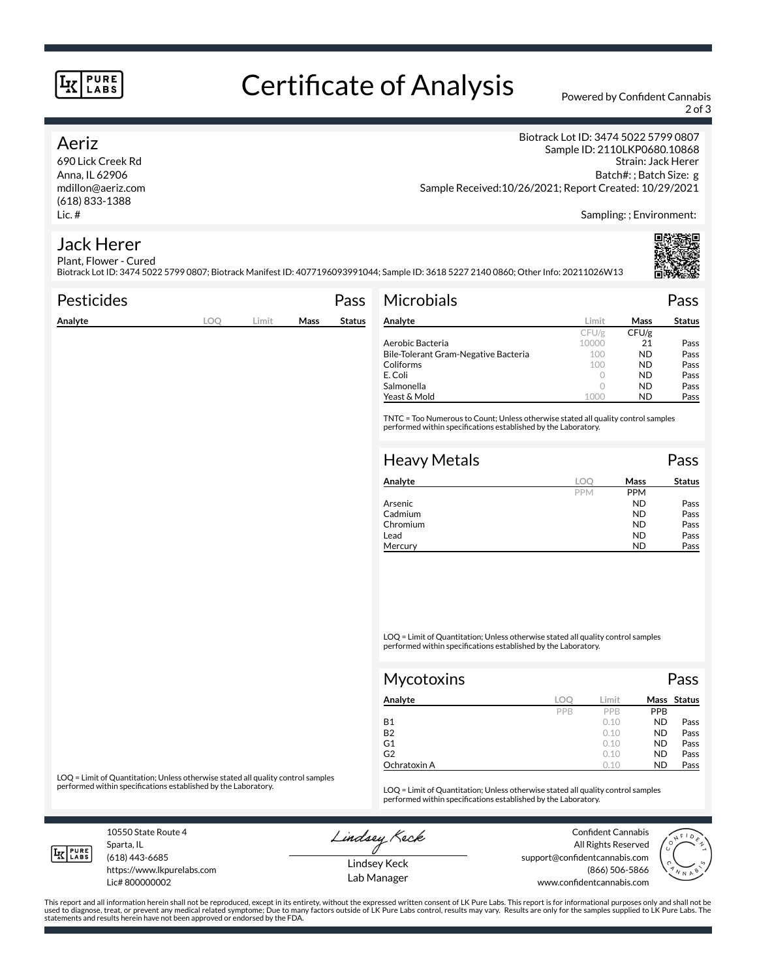#### **PURE** LABS

# Certificate of Analysis Powered by Confident Cannabis

2 of 3

### Aeriz

690 Lick Creek Rd Anna, IL 62906 mdillon@aeriz.com (618) 833-1388 Lic. #

Biotrack Lot ID: 3474 5022 5799 0807 Sample ID: 2110LKP0680.10868 Strain: Jack Herer Batch#: ; Batch Size: g Sample Received:10/26/2021; Report Created: 10/29/2021

Sampling: ; Environment:

#### Jack Herer Plant, Flower - Cured

Biotrack Lot ID: 3474 5022 5799 0807; Biotrack Manifest ID: 4077196093991044; Sample ID: 3618 5227 2140 0860; Other Info: 20211026W13

| <b>Pesticides</b> |     |       |      | Pass          | <b>Microbials</b>                                                                                                                                   |            |            | Pass          |
|-------------------|-----|-------|------|---------------|-----------------------------------------------------------------------------------------------------------------------------------------------------|------------|------------|---------------|
| Analyte           | LOO | Limit | Mass | <b>Status</b> | Analyte                                                                                                                                             | Limit      | Mass       | <b>Status</b> |
|                   |     |       |      |               |                                                                                                                                                     | CFU/g      | CFU/g      |               |
|                   |     |       |      |               | Aerobic Bacteria                                                                                                                                    | 10000      | 21         | Pass          |
|                   |     |       |      |               | Bile-Tolerant Gram-Negative Bacteria                                                                                                                | 100        | <b>ND</b>  | Pass          |
|                   |     |       |      |               | Coliforms                                                                                                                                           | 100        | <b>ND</b>  | Pass          |
|                   |     |       |      |               | E. Coli                                                                                                                                             | $\circ$    | <b>ND</b>  | Pass          |
|                   |     |       |      |               | Salmonella                                                                                                                                          | 0          | <b>ND</b>  | Pass          |
|                   |     |       |      |               | Yeast & Mold                                                                                                                                        | 1000       | <b>ND</b>  | Pass          |
|                   |     |       |      |               | TNTC = Too Numerous to Count; Unless otherwise stated all quality control samples<br>performed within specifications established by the Laboratory. |            |            |               |
|                   |     |       |      |               | <b>Heavy Metals</b>                                                                                                                                 |            |            | Pass          |
|                   |     |       |      |               | Analyte                                                                                                                                             | LOQ        | Mass       | <b>Status</b> |
|                   |     |       |      |               |                                                                                                                                                     | <b>PPM</b> | <b>PPM</b> |               |

| Analyte  | LOC        | Mass       | Status |
|----------|------------|------------|--------|
|          | <b>PPM</b> | <b>PPM</b> |        |
| Arsenic  |            | ND         | Pass   |
| Cadmium  |            | <b>ND</b>  | Pass   |
| Chromium |            | <b>ND</b>  | Pass   |
| Lead     |            | <b>ND</b>  | Pass   |
| Mercury  |            | ND         | Pass   |

LOQ = Limit of Quantitation; Unless otherwise stated all quality control samples performed within specifications established by the Laboratory.

| Mycotoxins     |     |            |            | Pass        |  |  |
|----------------|-----|------------|------------|-------------|--|--|
| Analyte        | LOC | Limit      |            | Mass Status |  |  |
|                | PPB | <b>PPR</b> | <b>PPB</b> |             |  |  |
| Β1             |     | 0.10       | <b>ND</b>  | Pass        |  |  |
| B <sub>2</sub> |     | 0.10       | <b>ND</b>  | Pass        |  |  |
| G1             |     | 0.10       | <b>ND</b>  | Pass        |  |  |
| G2             |     | 0.10       | <b>ND</b>  | Pass        |  |  |
| Ochratoxin A   |     | 0.10       | <b>ND</b>  | Pass        |  |  |

LOQ = Limit of Quantitation; Unless otherwise stated all quality control samples<br>performed within specifications established by the Laboratory.

LOQ = Limit of Quantitation; Unless otherwise stated all quality control samples performed within specifications established by the Laboratory.

10550 State Route 4 Sparta, IL

Lindsey Keck

Confident Cannabis All Rights Reserved support@confidentcannabis.com (866) 506-5866 www.confidentcannabis.com



**IK PURE** 

(618) 443-6685 https://www.lkpurelabs.com

Lic# 800000002

Lindsey Keck Lab Manager

This report and all information herein shall not be reproduced, except in its entirety, without the expressed written consent of LK Pure Labs. This report is for informational purposes only and shall not be<br>used to diagnos